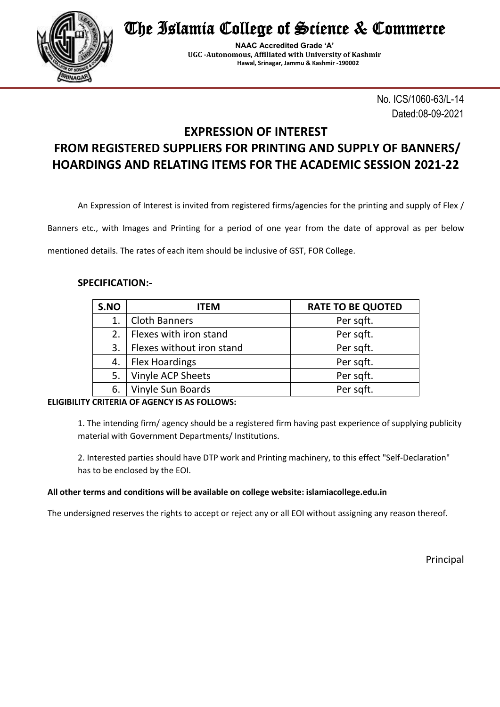

The Islamia College of Science & Commerce

**NAAC Accredited Grade 'A' UGC -Autonomous, Affiliated with University of Kashmir Hawal, Srinagar, Jammu & Kashmir -190002**

> No. ICS/1060-63/L-14 Dated:08-09-2021

# **EXPRESSION OF INTEREST FROM REGISTERED SUPPLIERS FOR PRINTING AND SUPPLY OF BANNERS/ HOARDINGS AND RELATING ITEMS FOR THE ACADEMIC SESSION 2021-22**

An Expression of Interest is invited from registered firms/agencies for the printing and supply of Flex /

Banners etc., with Images and Printing for a period of one year from the date of approval as per below

mentioned details. The rates of each item should be inclusive of GST, FOR College.

### **SPECIFICATION:-**

| S.NO | <b>ITEM</b>               | <b>RATE TO BE QUOTED</b> |
|------|---------------------------|--------------------------|
|      | <b>Cloth Banners</b>      | Per sqft.                |
| 2.   | Flexes with iron stand    | Per sqft.                |
| 3.   | Flexes without iron stand | Per sqft.                |
| 4.   | <b>Flex Hoardings</b>     | Per sqft.                |
| 5.   | <b>Vinyle ACP Sheets</b>  | Per sqft.                |
| 6.   | Vinyle Sun Boards         | Per sqft.                |

#### **ELIGIBILITY CRITERIA OF AGENCY IS AS FOLLOWS:**

1. The intending firm/ agency should be a registered firm having past experience of supplying publicity material with Government Departments/ Institutions.

2. Interested parties should have DTP work and Printing machinery, to this effect "Self-Declaration" has to be enclosed by the EOI.

#### **All other terms and conditions will be available on college website: islamiacollege.edu.in**

The undersigned reserves the rights to accept or reject any or all EOI without assigning any reason thereof.

Principal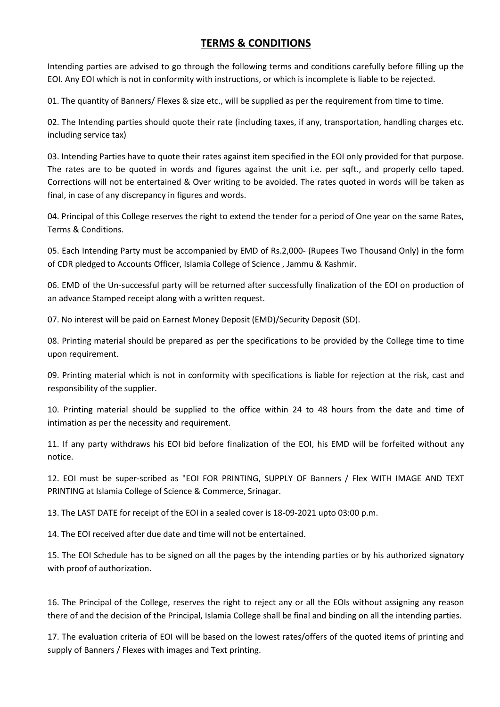## **TERMS & CONDITIONS**

Intending parties are advised to go through the following terms and conditions carefully before filling up the EOI. Any EOI which is not in conformity with instructions, or which is incomplete is liable to be rejected.

01. The quantity of Banners/ Flexes & size etc., will be supplied as per the requirement from time to time.

02. The Intending parties should quote their rate (including taxes, if any, transportation, handling charges etc. including service tax)

03. Intending Parties have to quote their rates against item specified in the EOI only provided for that purpose. The rates are to be quoted in words and figures against the unit i.e. per sqft., and properly cello taped. Corrections will not be entertained & Over writing to be avoided. The rates quoted in words will be taken as final, in case of any discrepancy in figures and words.

04. Principal of this College reserves the right to extend the tender for a period of One year on the same Rates, Terms & Conditions.

05. Each Intending Party must be accompanied by EMD of Rs.2,000- (Rupees Two Thousand Only) in the form of CDR pledged to Accounts Officer, Islamia College of Science , Jammu & Kashmir.

06. EMD of the Un-successful party will be returned after successfully finalization of the EOI on production of an advance Stamped receipt along with a written request.

07. No interest will be paid on Earnest Money Deposit (EMD)/Security Deposit (SD).

08. Printing material should be prepared as per the specifications to be provided by the College time to time upon requirement.

09. Printing material which is not in conformity with specifications is liable for rejection at the risk, cast and responsibility of the supplier.

10. Printing material should be supplied to the office within 24 to 48 hours from the date and time of intimation as per the necessity and requirement.

11. If any party withdraws his EOI bid before finalization of the EOI, his EMD will be forfeited without any notice.

12. EOI must be super-scribed as "EOI FOR PRINTING, SUPPLY OF Banners / Flex WITH IMAGE AND TEXT PRINTING at Islamia College of Science & Commerce, Srinagar.

13. The LAST DATE for receipt of the EOI in a sealed cover is 18-09-2021 upto 03:00 p.m.

14. The EOI received after due date and time will not be entertained.

15. The EOI Schedule has to be signed on all the pages by the intending parties or by his authorized signatory with proof of authorization.

16. The Principal of the College, reserves the right to reject any or all the EOIs without assigning any reason there of and the decision of the Principal, Islamia College shall be final and binding on all the intending parties.

17. The evaluation criteria of EOI will be based on the lowest rates/offers of the quoted items of printing and supply of Banners / Flexes with images and Text printing.